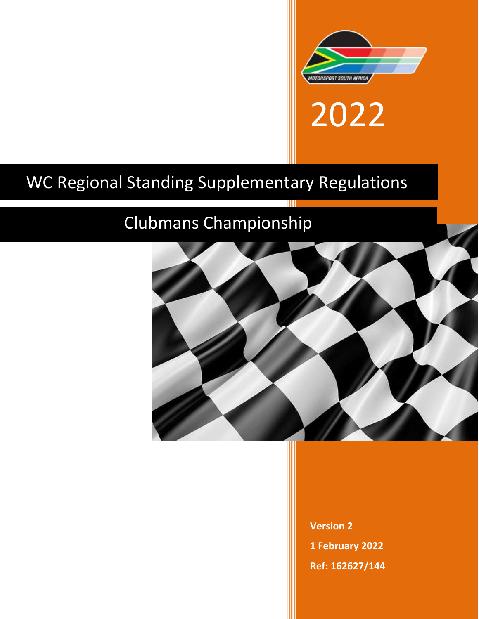

2022

# WC Regional Standing Supplementary Regulations

## Clubmans Championship



**Version 2 1 February 2022 Ref: 162627/144**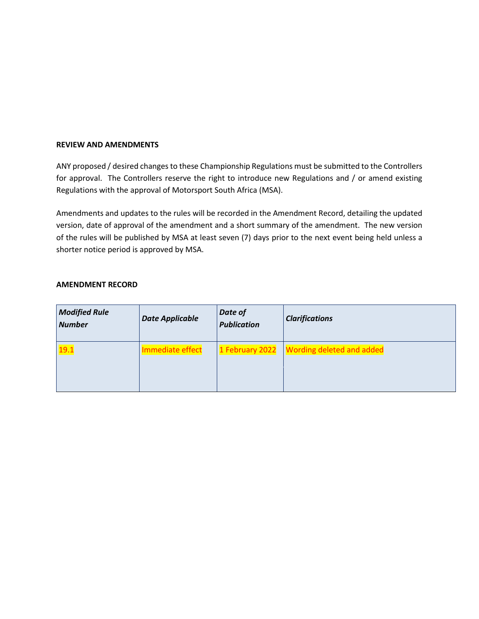#### **REVIEW AND AMENDMENTS**

ANY proposed / desired changes to these Championship Regulations must be submitted to the Controllers for approval. The Controllers reserve the right to introduce new Regulations and / or amend existing Regulations with the approval of Motorsport South Africa (MSA).

Amendments and updates to the rules will be recorded in the Amendment Record, detailing the updated version, date of approval of the amendment and a short summary of the amendment. The new version of the rules will be published by MSA at least seven (7) days prior to the next event being held unless a shorter notice period is approved by MSA.

#### **AMENDMENT RECORD**

| <b>Modified Rule</b><br><b>Number</b> | <b>Date Applicable</b> | Date of<br><b>Publication</b> | <b>Clarifications</b>                       |
|---------------------------------------|------------------------|-------------------------------|---------------------------------------------|
| 19.1                                  | Immediate effect       |                               | 1 February 2022   Wording deleted and added |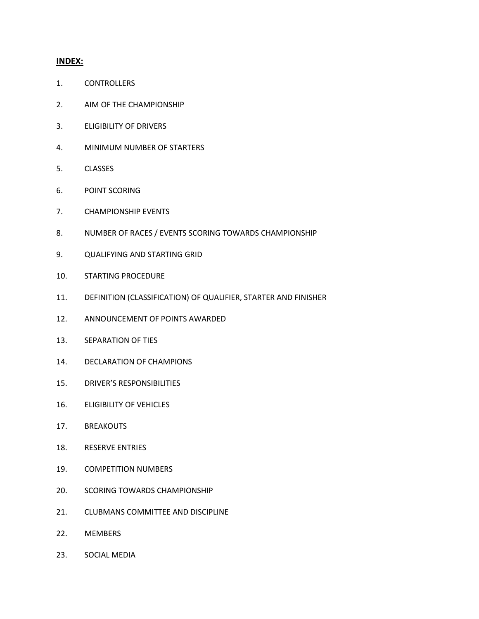#### **INDEX:**

- 1. CONTROLLERS
- 2. AIM OF THE CHAMPIONSHIP
- 3. ELIGIBILITY OF DRIVERS
- 4. MINIMUM NUMBER OF STARTERS
- 5. CLASSES
- 6. POINT SCORING
- 7. CHAMPIONSHIP EVENTS
- 8. NUMBER OF RACES / EVENTS SCORING TOWARDS CHAMPIONSHIP
- 9. QUALIFYING AND STARTING GRID
- 10. STARTING PROCEDURE
- 11. DEFINITION (CLASSIFICATION) OF QUALIFIER, STARTER AND FINISHER
- 12. ANNOUNCEMENT OF POINTS AWARDED
- 13. SEPARATION OF TIES
- 14. DECLARATION OF CHAMPIONS
- 15. DRIVER'S RESPONSIBILITIES
- 16. ELIGIBILITY OF VEHICLES
- 17. BREAKOUTS
- 18. RESERVE ENTRIES
- 19. COMPETITION NUMBERS
- 20. SCORING TOWARDS CHAMPIONSHIP
- 21. CLUBMANS COMMITTEE AND DISCIPLINE
- 22. MEMBERS
- 23. SOCIAL MEDIA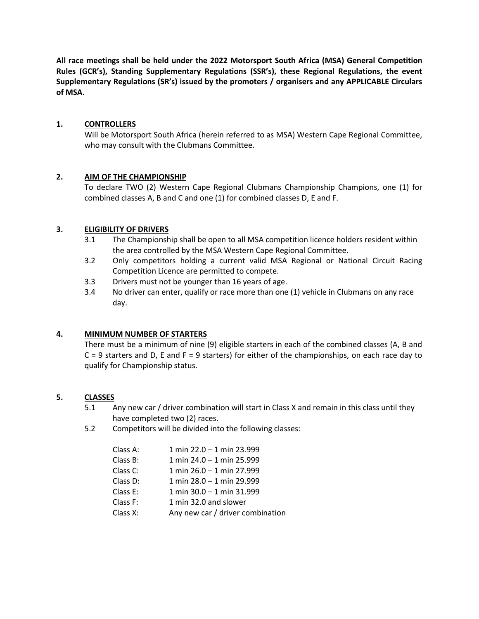**All race meetings shall be held under the 2022 Motorsport South Africa (MSA) General Competition Rules (GCR's), Standing Supplementary Regulations (SSR's), these Regional Regulations, the event Supplementary Regulations (SR's) issued by the promoters / organisers and any APPLICABLE Circulars of MSA.** 

## **1. CONTROLLERS**

Will be Motorsport South Africa (herein referred to as MSA) Western Cape Regional Committee, who may consult with the Clubmans Committee.

#### **2. AIM OF THE CHAMPIONSHIP**

To declare TWO (2) Western Cape Regional Clubmans Championship Champions, one (1) for combined classes A, B and C and one (1) for combined classes D, E and F.

#### **3. ELIGIBILITY OF DRIVERS**

- 3.1 The Championship shall be open to all MSA competition licence holders resident within the area controlled by the MSA Western Cape Regional Committee.
- 3.2 Only competitors holding a current valid MSA Regional or National Circuit Racing Competition Licence are permitted to compete.
- 3.3 Drivers must not be younger than 16 years of age.
- 3.4 No driver can enter, qualify or race more than one (1) vehicle in Clubmans on any race day.

#### **4. MINIMUM NUMBER OF STARTERS**

There must be a minimum of nine (9) eligible starters in each of the combined classes (A, B and  $C = 9$  starters and D, E and F = 9 starters) for either of the championships, on each race day to qualify for Championship status.

#### **5. CLASSES**

- 5.1 Any new car / driver combination will start in Class X and remain in this class until they have completed two (2) races.
- 5.2 Competitors will be divided into the following classes:

| Class A: | $1 \text{ min } 22.0 - 1 \text{ min } 23.999$ |
|----------|-----------------------------------------------|
| Class B: | 1 min 24.0 - 1 min 25.999                     |
| Class C: | 1 min 26.0 - 1 min 27.999                     |
| Class D: | 1 min 28.0 - 1 min 29.999                     |
| Class E: | 1 min $30.0 - 1$ min $31.999$                 |
| Class F: | 1 min 32.0 and slower                         |
| Class X: | Any new car / driver combination              |
|          |                                               |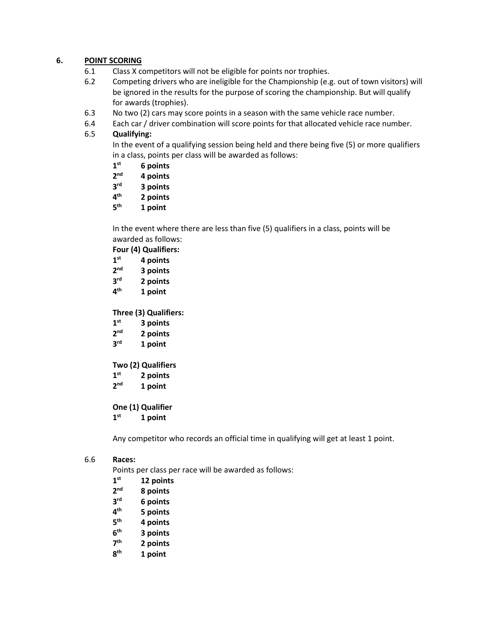## **6. POINT SCORING**

- 6.1 Class X competitors will not be eligible for points nor trophies.
- 6.2 Competing drivers who are ineligible for the Championship (e.g. out of town visitors) will be ignored in the results for the purpose of scoring the championship. But will qualify for awards (trophies).
- 6.3 No two (2) cars may score points in a season with the same vehicle race number.
- 6.4 Each car / driver combination will score points for that allocated vehicle race number.

## 6.5 **Qualifying:**

In the event of a qualifying session being held and there being five (5) or more qualifiers in a class, points per class will be awarded as follows:

- **1 st 6 points**
- **2 nd 4 points**
- **3 rd 3 points**
- **4 th 2 points**
- **5 th 1 point**

In the event where there are less than five (5) qualifiers in a class, points will be awarded as follows:

**Four (4) Qualifiers:**

- **1 st 4 points**
- **2 nd 3 points**
- **3 rd 2 points**
- **4 th 1 point**

**Three (3) Qualifiers:**

- **1 3 points**
- $2<sup>nd</sup>$ **nd 2 points**
- **3 1 point**

**Two (2) Qualifiers**

- **1 st 2 points**
- **2 1** point

**One (1) Qualifier**

**1 st 1 point**

Any competitor who records an official time in qualifying will get at least 1 point.

#### 6.6 **Races:**

Points per class per race will be awarded as follows:

- **1 st 12 points**
- **2 nd 8 points**
- **3 6 points**
- **4 th 5 points**
- **5 th 4 points**
- **6 th 3 points**
- **7 th 2 points**
- **8 th 1 point**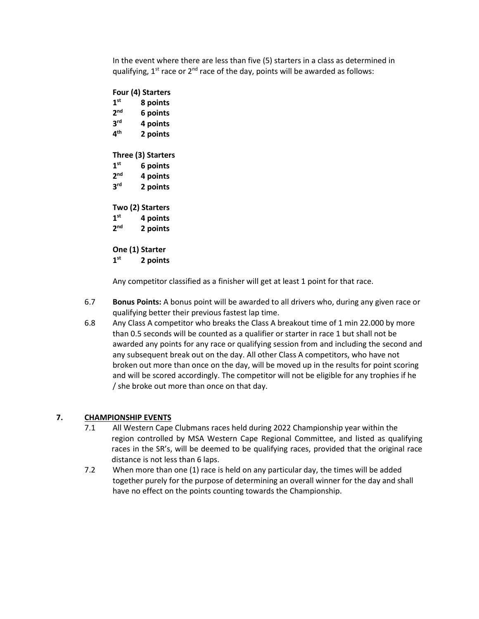In the event where there are less than five (5) starters in a class as determined in qualifying,  $1^{st}$  race or  $2^{nd}$  race of the day, points will be awarded as follows:

**Four (4) Starters 1 8 points 2 6 points 3 rd 4 points 4 th 2 points Three (3) Starters 1 st 6 points 2 nd 4 points 3 rd 2 points Two (2) Starters 1 st 4 points 2 nd 2 points One (1) Starter 1 st 2 points**

Any competitor classified as a finisher will get at least 1 point for that race.

- 6.7 **Bonus Points:** A bonus point will be awarded to all drivers who, during any given race or qualifying better their previous fastest lap time.
- 6.8 Any Class A competitor who breaks the Class A breakout time of 1 min 22.000 by more than 0.5 seconds will be counted as a qualifier or starter in race 1 but shall not be awarded any points for any race or qualifying session from and including the second and any subsequent break out on the day. All other Class A competitors, who have not broken out more than once on the day, will be moved up in the results for point scoring and will be scored accordingly. The competitor will not be eligible for any trophies if he / she broke out more than once on that day.

## **7. CHAMPIONSHIP EVENTS**

- 7.1 All Western Cape Clubmans races held during 2022 Championship year within the region controlled by MSA Western Cape Regional Committee, and listed as qualifying races in the SR's, will be deemed to be qualifying races, provided that the original race distance is not less than 6 laps.
- 7.2 When more than one (1) race is held on any particular day, the times will be added together purely for the purpose of determining an overall winner for the day and shall have no effect on the points counting towards the Championship.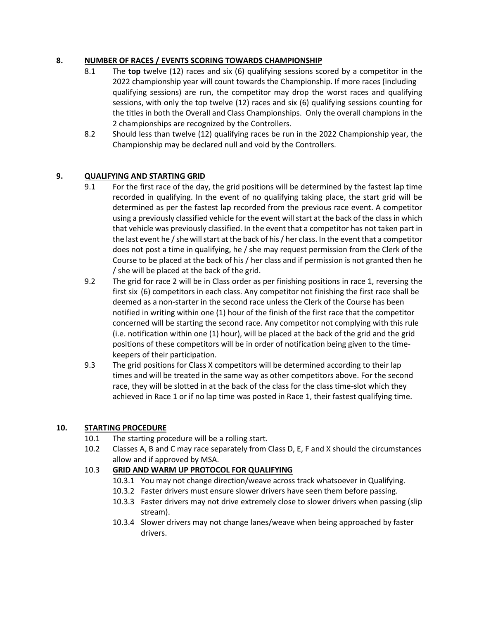## **8. NUMBER OF RACES / EVENTS SCORING TOWARDS CHAMPIONSHIP**

- 8.1 The **top** twelve (12) races and six (6) qualifying sessions scored by a competitor in the 2022 championship year will count towards the Championship. If more races (including qualifying sessions) are run, the competitor may drop the worst races and qualifying sessions, with only the top twelve (12) races and six (6) qualifying sessions counting for the titles in both the Overall and Class Championships. Only the overall champions in the 2 championships are recognized by the Controllers.
- 8.2 Should less than twelve (12) qualifying races be run in the 2022 Championship year, the Championship may be declared null and void by the Controllers.

## **9. QUALIFYING AND STARTING GRID**

- 9.1 For the first race of the day, the grid positions will be determined by the fastest lap time recorded in qualifying. In the event of no qualifying taking place, the start grid will be determined as per the fastest lap recorded from the previous race event. A competitor using a previously classified vehicle for the event will start at the back of the class in which that vehicle was previously classified. In the event that a competitor has not taken part in the last event he / she will start at the back of his / her class. In the event that a competitor does not post a time in qualifying, he / she may request permission from the Clerk of the Course to be placed at the back of his / her class and if permission is not granted then he / she will be placed at the back of the grid.
- 9.2 The grid for race 2 will be in Class order as per finishing positions in race 1, reversing the first six (6) competitors in each class. Any competitor not finishing the first race shall be deemed as a non-starter in the second race unless the Clerk of the Course has been notified in writing within one (1) hour of the finish of the first race that the competitor concerned will be starting the second race. Any competitor not complying with this rule (i.e. notification within one (1) hour), will be placed at the back of the grid and the grid positions of these competitors will be in order of notification being given to the timekeepers of their participation.
- 9.3 The grid positions for Class X competitors will be determined according to their lap times and will be treated in the same way as other competitors above. For the second race, they will be slotted in at the back of the class for the class time-slot which they achieved in Race 1 or if no lap time was posted in Race 1, their fastest qualifying time.

## **10. STARTING PROCEDURE**

- 10.1 The starting procedure will be a rolling start.
- 10.2 Classes A, B and C may race separately from Class D, E, F and X should the circumstances allow and if approved by MSA.

## 10.3 **GRID AND WARM UP PROTOCOL FOR QUALIFYING**

- 10.3.1 You may not change direction/weave across track whatsoever in Qualifying.
- 10.3.2 Faster drivers must ensure slower drivers have seen them before passing.
- 10.3.3 Faster drivers may not drive extremely close to slower drivers when passing (slip stream).
- 10.3.4 Slower drivers may not change lanes/weave when being approached by faster drivers.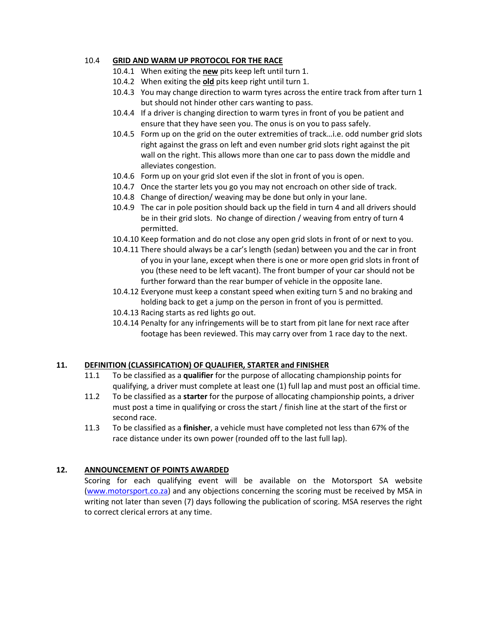#### 10.4 **GRID AND WARM UP PROTOCOL FOR THE RACE**

- 10.4.1 When exiting the **new** pits keep left until turn 1.
- 10.4.2 When exiting the **old** pits keep right until turn 1.
- 10.4.3 You may change direction to warm tyres across the entire track from after turn 1 but should not hinder other cars wanting to pass.
- 10.4.4 If a driver is changing direction to warm tyres in front of you be patient and ensure that they have seen you. The onus is on you to pass safely.
- 10.4.5 Form up on the grid on the outer extremities of track…i.e. odd number grid slots right against the grass on left and even number grid slots right against the pit wall on the right. This allows more than one car to pass down the middle and alleviates congestion.
- 10.4.6 Form up on your grid slot even if the slot in front of you is open.
- 10.4.7 Once the starter lets you go you may not encroach on other side of track.
- 10.4.8 Change of direction/ weaving may be done but only in your lane.
- 10.4.9 The car in pole position should back up the field in turn 4 and all drivers should be in their grid slots. No change of direction / weaving from entry of turn 4 permitted.
- 10.4.10 Keep formation and do not close any open grid slots in front of or next to you.
- 10.4.11 There should always be a car's length (sedan) between you and the car in front of you in your lane, except when there is one or more open grid slots in front of you (these need to be left vacant). The front bumper of your car should not be further forward than the rear bumper of vehicle in the opposite lane.
- 10.4.12 Everyone must keep a constant speed when exiting turn 5 and no braking and holding back to get a jump on the person in front of you is permitted.
- 10.4.13 Racing starts as red lights go out.
- 10.4.14 Penalty for any infringements will be to start from pit lane for next race after footage has been reviewed. This may carry over from 1 race day to the next.

## **11. DEFINITION (CLASSIFICATION) OF QUALIFIER, STARTER and FINISHER**

- 11.1 To be classified as a **qualifier** for the purpose of allocating championship points for qualifying, a driver must complete at least one (1) full lap and must post an official time.
- 11.2 To be classified as a **starter** for the purpose of allocating championship points, a driver must post a time in qualifying or cross the start / finish line at the start of the first or second race.
- 11.3 To be classified as a **finisher**, a vehicle must have completed not less than 67% of the race distance under its own power (rounded off to the last full lap).

## **12. ANNOUNCEMENT OF POINTS AWARDED**

Scoring for each qualifying event will be available on the Motorsport SA website [\(www.motorsport.co.za\)](http://www.motorsport.co.za/) and any objections concerning the scoring must be received by MSA in writing not later than seven (7) days following the publication of scoring. MSA reserves the right to correct clerical errors at any time.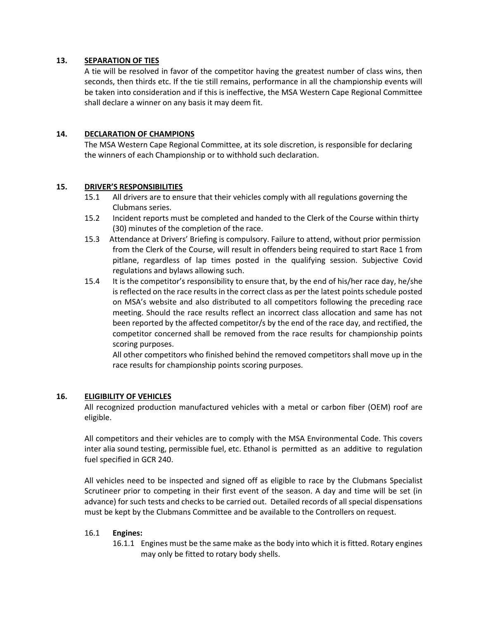#### **13. SEPARATION OF TIES**

A tie will be resolved in favor of the competitor having the greatest number of class wins, then seconds, then thirds etc. If the tie still remains, performance in all the championship events will be taken into consideration and if this is ineffective, the MSA Western Cape Regional Committee shall declare a winner on any basis it may deem fit.

#### **14. DECLARATION OF CHAMPIONS**

The MSA Western Cape Regional Committee, at its sole discretion, is responsible for declaring the winners of each Championship or to withhold such declaration.

#### **15. DRIVER'S RESPONSIBILITIES**

- 15.1 All drivers are to ensure that their vehicles comply with all regulations governing the Clubmans series.
- 15.2 Incident reports must be completed and handed to the Clerk of the Course within thirty (30) minutes of the completion of the race.
- 15.3 Attendance at Drivers' Briefing is compulsory. Failure to attend, without prior permission from the Clerk of the Course, will result in offenders being required to start Race 1 from pitlane, regardless of lap times posted in the qualifying session. Subjective Covid regulations and bylaws allowing such.
- 15.4 It is the competitor's responsibility to ensure that, by the end of his/her race day, he/she is reflected on the race results in the correct class as per the latest points schedule posted on MSA's website and also distributed to all competitors following the preceding race meeting. Should the race results reflect an incorrect class allocation and same has not been reported by the affected competitor/s by the end of the race day, and rectified, the competitor concerned shall be removed from the race results for championship points scoring purposes.

All other competitors who finished behind the removed competitors shall move up in the race results for championship points scoring purposes.

#### **16. ELIGIBILITY OF VEHICLES**

All recognized production manufactured vehicles with a metal or carbon fiber (OEM) roof are eligible.

All competitors and their vehicles are to comply with the MSA Environmental Code. This covers inter alia sound testing, permissible fuel, etc. Ethanol is permitted as an additive to regulation fuel specified in GCR 240.

All vehicles need to be inspected and signed off as eligible to race by the Clubmans Specialist Scrutineer prior to competing in their first event of the season. A day and time will be set (in advance) for such tests and checks to be carried out. Detailed records of all special dispensations must be kept by the Clubmans Committee and be available to the Controllers on request.

#### 16.1 **Engines:**

16.1.1 Engines must be the same make as the body into which it is fitted. Rotary engines may only be fitted to rotary body shells.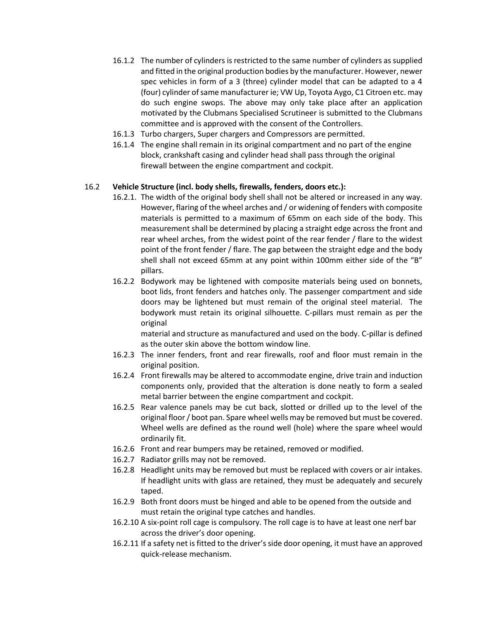- 16.1.2 The number of cylinders is restricted to the same number of cylinders as supplied and fitted in the original production bodies by the manufacturer. However, newer spec vehicles in form of a 3 (three) cylinder model that can be adapted to a 4 (four) cylinder of same manufacturer ie; VW Up, Toyota Aygo, C1 Citroen etc. may do such engine swops. The above may only take place after an application motivated by the Clubmans Specialised Scrutineer is submitted to the Clubmans committee and is approved with the consent of the Controllers.
- 16.1.3 Turbo chargers, Super chargers and Compressors are permitted.
- 16.1.4 The engine shall remain in its original compartment and no part of the engine block, crankshaft casing and cylinder head shall pass through the original firewall between the engine compartment and cockpit.

#### 16.2 **Vehicle Structure (incl. body shells, firewalls, fenders, doors etc.):**

- 16.2.1. The width of the original body shell shall not be altered or increased in any way. However, flaring of the wheel arches and / or widening of fenders with composite materials is permitted to a maximum of 65mm on each side of the body. This measurement shall be determined by placing a straight edge across the front and rear wheel arches, from the widest point of the rear fender / flare to the widest point of the front fender / flare. The gap between the straight edge and the body shell shall not exceed 65mm at any point within 100mm either side of the "B" pillars.
- 16.2.2 Bodywork may be lightened with composite materials being used on bonnets, boot lids, front fenders and hatches only. The passenger compartment and side doors may be lightened but must remain of the original steel material. The bodywork must retain its original silhouette. C-pillars must remain as per the original

material and structure as manufactured and used on the body. C-pillar is defined as the outer skin above the bottom window line.

- 16.2.3 The inner fenders, front and rear firewalls, roof and floor must remain in the original position.
- 16.2.4 Front firewalls may be altered to accommodate engine, drive train and induction components only, provided that the alteration is done neatly to form a sealed metal barrier between the engine compartment and cockpit.
- 16.2.5 Rear valence panels may be cut back, slotted or drilled up to the level of the original floor / boot pan. Spare wheel wells may be removed but must be covered. Wheel wells are defined as the round well (hole) where the spare wheel would ordinarily fit.
- 16.2.6 Front and rear bumpers may be retained, removed or modified.
- 16.2.7 Radiator grills may not be removed.
- 16.2.8 Headlight units may be removed but must be replaced with covers or air intakes. If headlight units with glass are retained, they must be adequately and securely taped.
- 16.2.9 Both front doors must be hinged and able to be opened from the outside and must retain the original type catches and handles.
- 16.2.10 A six-point roll cage is compulsory. The roll cage is to have at least one nerf bar across the driver's door opening.
- 16.2.11 If a safety net is fitted to the driver's side door opening, it must have an approved quick-release mechanism.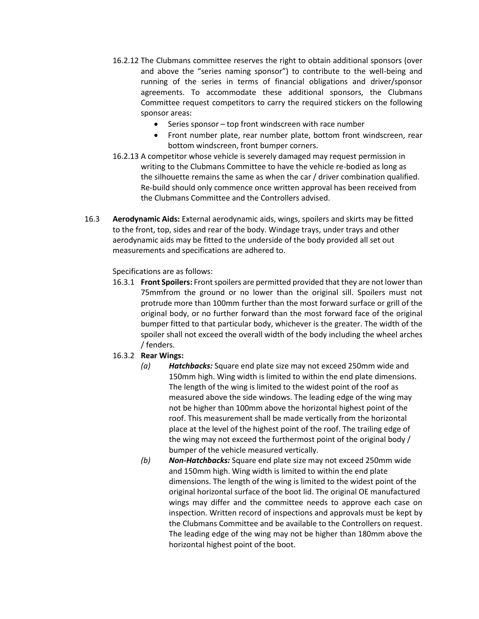- 16.2.12 The Clubmans committee reserves the right to obtain additional sponsors (over and above the "series naming sponsor") to contribute to the well-being and running of the series in terms of financial obligations and driver/sponsor agreements. To accommodate these additional sponsors, the Clubmans Committee request competitors to carry the required stickers on the following sponsor areas:
	- Series sponsor top front windscreen with race number
	- Front number plate, rear number plate, bottom front windscreen, rear bottom windscreen, front bumper corners.
- 16.2.13 A competitor whose vehicle is severely damaged may request permission in writing to the Clubmans Committee to have the vehicle re-bodied as long as the silhouette remains the same as when the car / driver combination qualified. Re-build should only commence once written approval has been received from the Clubmans Committee and the Controllers advised.
- 16.3 **Aerodynamic Aids:** External aerodynamic aids, wings, spoilers and skirts may be fitted to the front, top, sides and rear of the body. Windage trays, under trays and other aerodynamic aids may be fitted to the underside of the body provided all set out measurements and specifications are adhered to.

#### Specifications are as follows:

16.3.1 **Front Spoilers:** Front spoilers are permitted provided that they are not lower than 75mmfrom the ground or no lower than the original sill. Spoilers must not protrude more than 100mm further than the most forward surface or grill of the original body, or no further forward than the most forward face of the original bumper fitted to that particular body, whichever is the greater. The width of the spoiler shall not exceed the overall width of the body including the wheel arches / fenders.

## 16.3.2 **Rear Wings:**

- *(a) Hatchbacks:* Square end plate size may not exceed 250mm wide and 150mm high. Wing width is limited to within the end plate dimensions. The length of the wing is limited to the widest point of the roof as measured above the side windows. The leading edge of the wing may not be higher than 100mm above the horizontal highest point of the roof. This measurement shall be made vertically from the horizontal place at the level of the highest point of the roof. The trailing edge of the wing may not exceed the furthermost point of the original body / bumper of the vehicle measured vertically.
- *(b) Non-Hatchbacks:* Square end plate size may not exceed 250mm wide and 150mm high. Wing width is limited to within the end plate dimensions. The length of the wing is limited to the widest point of the original horizontal surface of the boot lid. The original OE manufactured wings may differ and the committee needs to approve each case on inspection. Written record of inspections and approvals must be kept by the Clubmans Committee and be available to the Controllers on request. The leading edge of the wing may not be higher than 180mm above the horizontal highest point of the boot.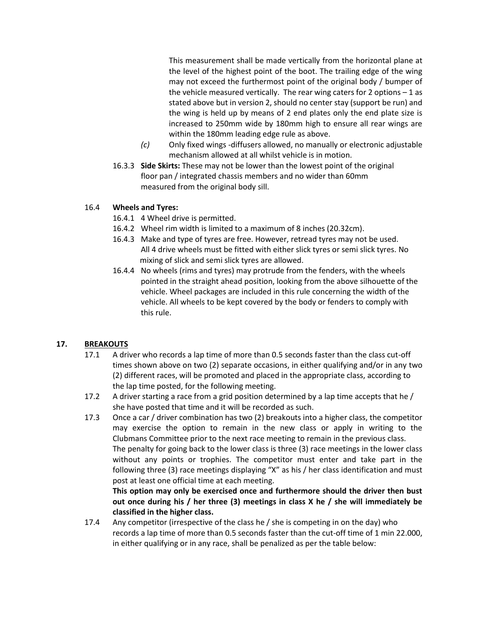This measurement shall be made vertically from the horizontal plane at the level of the highest point of the boot. The trailing edge of the wing may not exceed the furthermost point of the original body / bumper of the vehicle measured vertically. The rear wing caters for 2 options  $-1$  as stated above but in version 2, should no center stay (support be run) and the wing is held up by means of 2 end plates only the end plate size is increased to 250mm wide by 180mm high to ensure all rear wings are within the 180mm leading edge rule as above.

- *(c)* Only fixed wings -diffusers allowed, no manually or electronic adjustable mechanism allowed at all whilst vehicle is in motion.
- 16.3.3 **Side Skirts:** These may not be lower than the lowest point of the original floor pan / integrated chassis members and no wider than 60mm measured from the original body sill.

#### 16.4 **Wheels and Tyres:**

- 16.4.1 4 Wheel drive is permitted.
- 16.4.2 Wheel rim width is limited to a maximum of 8 inches (20.32cm).
- 16.4.3 Make and type of tyres are free. However, retread tyres may not be used. All 4 drive wheels must be fitted with either slick tyres or semi slick tyres. No mixing of slick and semi slick tyres are allowed.
- 16.4.4 No wheels (rims and tyres) may protrude from the fenders, with the wheels pointed in the straight ahead position, looking from the above silhouette of the vehicle. Wheel packages are included in this rule concerning the width of the vehicle. All wheels to be kept covered by the body or fenders to comply with this rule.

## **17. BREAKOUTS**

- 17.1 A driver who records a lap time of more than 0.5 seconds faster than the class cut-off times shown above on two (2) separate occasions, in either qualifying and/or in any two (2) different races, will be promoted and placed in the appropriate class, according to the lap time posted, for the following meeting.
- 17.2 A driver starting a race from a grid position determined by a lap time accepts that he / she have posted that time and it will be recorded as such.
- 17.3 Once a car / driver combination has two (2) breakouts into a higher class, the competitor may exercise the option to remain in the new class or apply in writing to the Clubmans Committee prior to the next race meeting to remain in the previous class. The penalty for going back to the lower class is three (3) race meetings in the lower class without any points or trophies. The competitor must enter and take part in the following three (3) race meetings displaying "X" as his / her class identification and must post at least one official time at each meeting.

**This option may only be exercised once and furthermore should the driver then bust out once during his / her three (3) meetings in class X he / she will immediately be classified in the higher class.**

17.4 Any competitor (irrespective of the class he / she is competing in on the day) who records a lap time of more than 0.5 seconds faster than the cut-off time of 1 min 22.000, in either qualifying or in any race, shall be penalized as per the table below: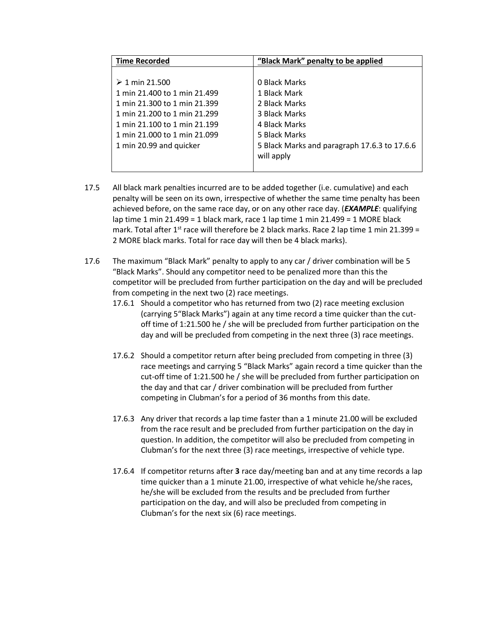| <b>Time Recorded</b>         | "Black Mark" penalty to be applied           |  |
|------------------------------|----------------------------------------------|--|
|                              |                                              |  |
| $\geq 1$ min 21.500          | 0 Black Marks                                |  |
| 1 min 21.400 to 1 min 21.499 | 1 Black Mark                                 |  |
| 1 min 21.300 to 1 min 21.399 | 2 Black Marks                                |  |
| 1 min 21.200 to 1 min 21.299 | 3 Black Marks                                |  |
| 1 min 21.100 to 1 min 21.199 | 4 Black Marks                                |  |
| 1 min 21.000 to 1 min 21.099 | 5 Black Marks                                |  |
| 1 min 20.99 and quicker      | 5 Black Marks and paragraph 17.6.3 to 17.6.6 |  |
|                              | will apply                                   |  |
|                              |                                              |  |

- 17.5 All black mark penalties incurred are to be added together (i.e. cumulative) and each penalty will be seen on its own, irrespective of whether the same time penalty has been achieved before, on the same race day, or on any other race day. (*EXAMPLE*: qualifying lap time 1 min 21.499 = 1 black mark, race 1 lap time 1 min 21.499 = 1 MORE black mark. Total after 1<sup>st</sup> race will therefore be 2 black marks. Race 2 lap time 1 min 21.399 = 2 MORE black marks. Total for race day will then be 4 black marks).
- 17.6 The maximum "Black Mark" penalty to apply to any car / driver combination will be 5 "Black Marks". Should any competitor need to be penalized more than this the competitor will be precluded from further participation on the day and will be precluded from competing in the next two (2) race meetings.
	- 17.6.1 Should a competitor who has returned from two (2) race meeting exclusion (carrying 5"Black Marks") again at any time record a time quicker than the cutoff time of 1:21.500 he / she will be precluded from further participation on the day and will be precluded from competing in the next three (3) race meetings.
	- 17.6.2 Should a competitor return after being precluded from competing in three (3) race meetings and carrying 5 "Black Marks" again record a time quicker than the cut-off time of 1:21.500 he / she will be precluded from further participation on the day and that car / driver combination will be precluded from further competing in Clubman's for a period of 36 months from this date.
	- 17.6.3 Any driver that records a lap time faster than a 1 minute 21.00 will be excluded from the race result and be precluded from further participation on the day in question. In addition, the competitor will also be precluded from competing in Clubman's for the next three (3) race meetings, irrespective of vehicle type.
	- 17.6.4 If competitor returns after **3** race day/meeting ban and at any time records a lap time quicker than a 1 minute 21.00, irrespective of what vehicle he/she races, he/she will be excluded from the results and be precluded from further participation on the day, and will also be precluded from competing in Clubman's for the next six (6) race meetings.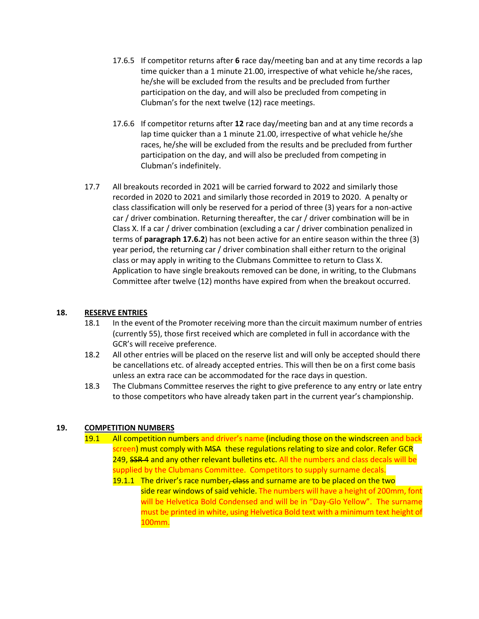- 17.6.5 If competitor returns after **6** race day/meeting ban and at any time records a lap time quicker than a 1 minute 21.00, irrespective of what vehicle he/she races, he/she will be excluded from the results and be precluded from further participation on the day, and will also be precluded from competing in Clubman's for the next twelve (12) race meetings.
- 17.6.6 If competitor returns after **12** race day/meeting ban and at any time records a lap time quicker than a 1 minute 21.00, irrespective of what vehicle he/she races, he/she will be excluded from the results and be precluded from further participation on the day, and will also be precluded from competing in Clubman's indefinitely.
- 17.7 All breakouts recorded in 2021 will be carried forward to 2022 and similarly those recorded in 2020 to 2021 and similarly those recorded in 2019 to 2020. A penalty or class classification will only be reserved for a period of three (3) years for a non-active car / driver combination. Returning thereafter, the car / driver combination will be in Class X. If a car / driver combination (excluding a car / driver combination penalized in terms of **paragraph 17.6.2**) has not been active for an entire season within the three (3) year period, the returning car / driver combination shall either return to the original class or may apply in writing to the Clubmans Committee to return to Class X. Application to have single breakouts removed can be done, in writing, to the Clubmans Committee after twelve (12) months have expired from when the breakout occurred.

#### **18. RESERVE ENTRIES**

- 18.1 In the event of the Promoter receiving more than the circuit maximum number of entries (currently 55), those first received which are completed in full in accordance with the GCR's will receive preference.
- 18.2 All other entries will be placed on the reserve list and will only be accepted should there be cancellations etc. of already accepted entries. This will then be on a first come basis unless an extra race can be accommodated for the race days in question.
- 18.3 The Clubmans Committee reserves the right to give preference to any entry or late entry to those competitors who have already taken part in the current year's championship.

## **19. COMPETITION NUMBERS**

- 19.1 All competition numbers and driver's name (including those on the windscreen and back screen) must comply with MSA these regulations relating to size and color. Refer GCR 249, SSR-4 and any other relevant bulletins etc. All the numbers and class decals will be supplied by the Clubmans Committee. Competitors to supply surname decals.
	- 19.1.1 The driver's race number, class and surname are to be placed on the two side rear windows of said vehicle. The numbers will have a height of 200mm, font will be Helvetica Bold Condensed and will be in "Day-Glo Yellow". The surname must be printed in white, using Helvetica Bold text with a minimum text height of 100mm.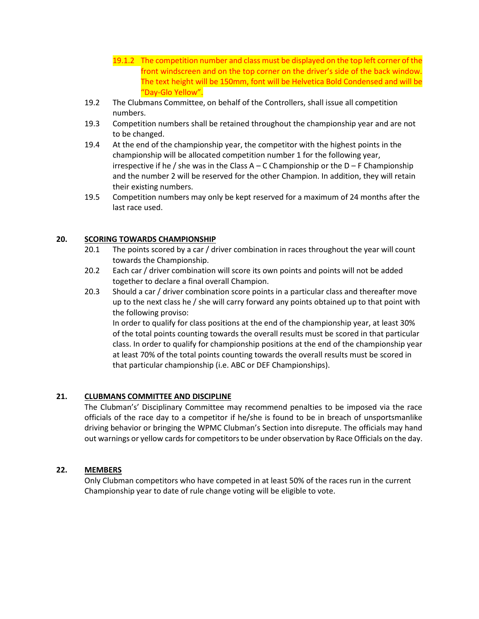- 19.1.2 The competition number and class must be displayed on the top left corner of the front windscreen and on the top corner on the driver's side of the back window. The text height will be 150mm, font will be Helvetica Bold Condensed and will be "Day-Glo Yellow".
- 19.2 The Clubmans Committee, on behalf of the Controllers, shall issue all competition numbers.
- 19.3 Competition numbers shall be retained throughout the championship year and are not to be changed.
- 19.4 At the end of the championship year, the competitor with the highest points in the championship will be allocated competition number 1 for the following year, irrespective if he / she was in the Class  $A - C$  Championship or the  $D - F$  Championship and the number 2 will be reserved for the other Champion. In addition, they will retain their existing numbers.
- 19.5 Competition numbers may only be kept reserved for a maximum of 24 months after the last race used.

#### **20. SCORING TOWARDS CHAMPIONSHIP**

- 20.1 The points scored by a car / driver combination in races throughout the year will count towards the Championship.
- 20.2 Each car / driver combination will score its own points and points will not be added together to declare a final overall Champion.
- 20.3 Should a car / driver combination score points in a particular class and thereafter move up to the next class he / she will carry forward any points obtained up to that point with the following proviso:

In order to qualify for class positions at the end of the championship year, at least 30% of the total points counting towards the overall results must be scored in that particular class. In order to qualify for championship positions at the end of the championship year at least 70% of the total points counting towards the overall results must be scored in that particular championship (i.e. ABC or DEF Championships).

## **21. CLUBMANS COMMITTEE AND DISCIPLINE**

The Clubman's' Disciplinary Committee may recommend penalties to be imposed via the race officials of the race day to a competitor if he/she is found to be in breach of unsportsmanlike driving behavior or bringing the WPMC Clubman's Section into disrepute. The officials may hand out warnings or yellow cards for competitors to be under observation by Race Officials on the day.

#### **22. MEMBERS**

Only Clubman competitors who have competed in at least 50% of the races run in the current Championship year to date of rule change voting will be eligible to vote.